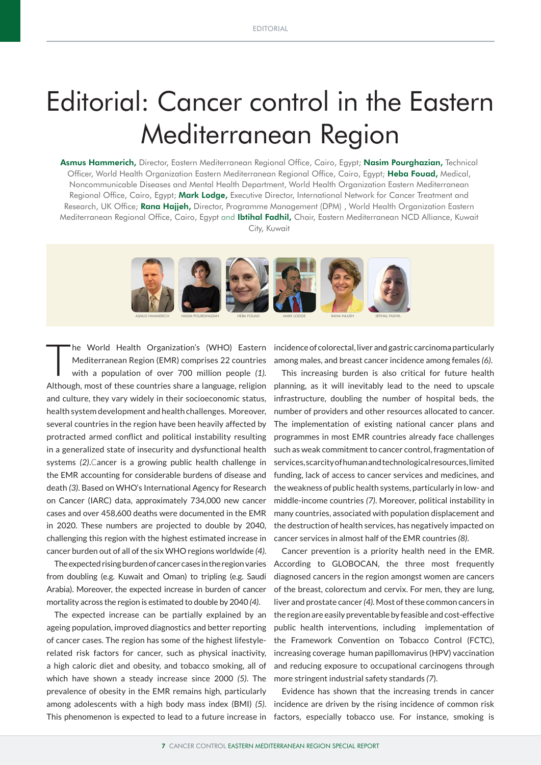## Editorial: Cancer control in the Eastern Mediterranean Region

Asmus Hammerich, Director, Eastern Mediterranean Regional Office, Cairo, Egypt; Nasim Pourghazian, Technical Officer, World Health Organization Eastern Mediterranean Regional Office, Cairo, Egypt; Heba Fouad, Medical, Noncommunicable Diseases and Mental Health Department, World Health Organization Eastern Mediterranean Regional Office, Cairo, Egypt; Mark Lodge, Executive Director, International Network for Cancer Treatment and Research, UK Office; Rana Hajjeh, Director, Programme Management (DPM), World Health Organization Eastern Mediterranean Regional Office, Cairo, Egypt and Ibtihal Fadhil, Chair, Eastern Mediterranean NCD Alliance, Kuwait City, Kuwait



The World Health Organization's (WHO) Eastern<br>
Mediterranean Region (EMR) comprises 22 countries<br>
with a population of over 700 million people *(1)*. Mediterranean Region (EMR) comprises 22 countries Although, most of these countries share a language, religion and culture, they vary widely in their socioeconomic status, health system development and health challenges. Moreover, several countries in the region have been heavily affected by protracted armed conflict and political instability resulting in a generalized state of insecurity and dysfunctional health systems *(2)*.Cancer is a growing public health challenge in the EMR accounting for considerable burdens of disease and death *(3)*. Based on WHO's International Agency for Research on Cancer (IARC) data, approximately 734,000 new cancer cases and over 458,600 deaths were documented in the EMR in 2020. These numbers are projected to double by 2040, challenging this region with the highest estimated increase in cancer burden out of all of the six WHO regions worldwide *(4)*.

The expected rising burden of cancer cases in the region varies from doubling (e.g. Kuwait and Oman) to tripling (e.g. Saudi Arabia). Moreover, the expected increase in burden of cancer mortality across the region is estimated to double by 2040 *(4)*.

The expected increase can be partially explained by an ageing population, improved diagnostics and better reporting of cancer cases. The region has some of the highest lifestylerelated risk factors for cancer, such as physical inactivity, a high caloric diet and obesity, and tobacco smoking, all of which have shown a steady increase since 2000 *(5)*. The prevalence of obesity in the EMR remains high, particularly among adolescents with a high body mass index (BMI) *(5)*.

incidence of colorectal, liver and gastric carcinoma particularly among males, and breast cancer incidence among females *(6)*.

This increasing burden is also critical for future health planning, as it will inevitably lead to the need to upscale infrastructure, doubling the number of hospital beds, the number of providers and other resources allocated to cancer. The implementation of existing national cancer plans and programmes in most EMR countries already face challenges such as weak commitment to cancer control, fragmentation of services, scarcity of human and technological resources, limited funding, lack of access to cancer services and medicines, and the weakness of public health systems, particularly in low- and middle-income countries *(7)*. Moreover, political instability in many countries, associated with population displacement and the destruction of health services, has negatively impacted on cancer services in almost half of the EMR countries *(8)*.

Cancer prevention is a priority health need in the EMR. According to GLOBOCAN, the three most frequently diagnosed cancers in the region amongst women are cancers of the breast, colorectum and cervix. For men, they are lung, liver and prostate cancer *(4).* Most of these common cancers in the region are easily preventable by feasible and cost-effective public health interventions, including implementation of the Framework Convention on Tobacco Control (FCTC), increasing coverage human papillomavirus (HPV) vaccination and reducing exposure to occupational carcinogens through more stringent industrial safety standards *(7*).

This phenomenon is expected to lead to a future increase in factors, especially tobacco use. For instance, smoking is Evidence has shown that the increasing trends in cancer incidence are driven by the rising incidence of common risk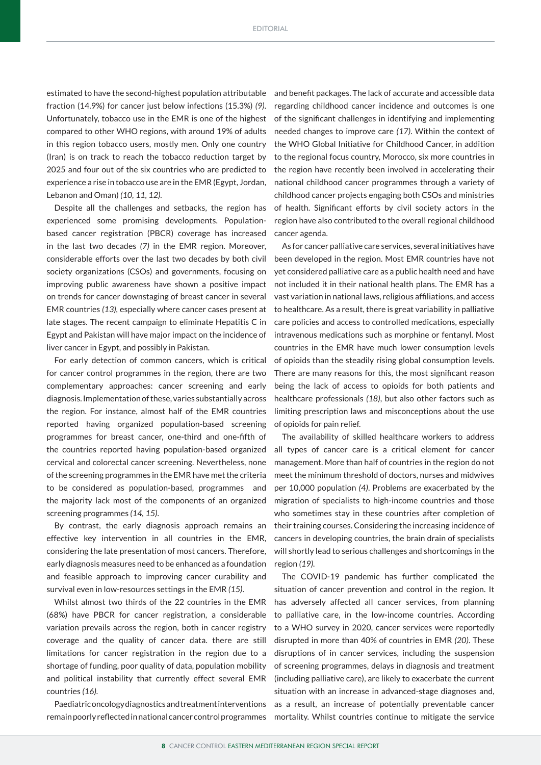estimated to have the second-highest population attributable fraction (14.9%) for cancer just below infections (15.3%) *(9)*. Unfortunately, tobacco use in the EMR is one of the highest compared to other WHO regions, with around 19% of adults in this region tobacco users, mostly men. Only one country (Iran) is on track to reach the tobacco reduction target by 2025 and four out of the six countries who are predicted to experience a rise in tobacco use are in the EMR (Egypt, Jordan, Lebanon and Oman) *(10, 11, 12).*

Despite all the challenges and setbacks, the region has experienced some promising developments. Populationbased cancer registration (PBCR) coverage has increased in the last two decades *(7)* in the EMR region. Moreover, considerable efforts over the last two decades by both civil society organizations (CSOs) and governments, focusing on improving public awareness have shown a positive impact on trends for cancer downstaging of breast cancer in several EMR countries *(13),* especially where cancer cases present at late stages. The recent campaign to eliminate Hepatitis C in Egypt and Pakistan will have major impact on the incidence of liver cancer in Egypt, and possibly in Pakistan.

For early detection of common cancers, which is critical for cancer control programmes in the region, there are two complementary approaches: cancer screening and early diagnosis. Implementation of these, varies substantially across the region. For instance, almost half of the EMR countries reported having organized population-based screening programmes for breast cancer, one-third and one-fifth of the countries reported having population-based organized cervical and colorectal cancer screening. Nevertheless, none of the screening programmes in the EMR have met the criteria to be considered as population-based, programmes and the majority lack most of the components of an organized screening programmes *(14, 15)*.

By contrast, the early diagnosis approach remains an effective key intervention in all countries in the EMR, considering the late presentation of most cancers. Therefore, early diagnosis measures need to be enhanced as a foundation and feasible approach to improving cancer curability and survival even in low-resources settings in the EMR *(15)*.

Whilst almost two thirds of the 22 countries in the EMR (68%) have PBCR for cancer registration, a considerable variation prevails across the region, both in cancer registry coverage and the quality of cancer data. there are still limitations for cancer registration in the region due to a shortage of funding, poor quality of data, population mobility and political instability that currently effect several EMR countries *(16).*

Paediatric oncology diagnostics and treatment interventions

and benefit packages. The lack of accurate and accessible data regarding childhood cancer incidence and outcomes is one of the significant challenges in identifying and implementing needed changes to improve care *(17)*. Within the context of the WHO Global Initiative for Childhood Cancer, in addition to the regional focus country, Morocco, six more countries in the region have recently been involved in accelerating their national childhood cancer programmes through a variety of childhood cancer projects engaging both CSOs and ministries of health. Significant efforts by civil society actors in the region have also contributed to the overall regional childhood cancer agenda.

As for cancer palliative care services, several initiatives have been developed in the region. Most EMR countries have not yet considered palliative care as a public health need and have not included it in their national health plans. The EMR has a vast variation in national laws, religious affiliations, and access to healthcare. As a result, there is great variability in palliative care policies and access to controlled medications, especially intravenous medications such as morphine or fentanyl. Most countries in the EMR have much lower consumption levels of opioids than the steadily rising global consumption levels. There are many reasons for this, the most significant reason being the lack of access to opioids for both patients and healthcare professionals *(18)*, but also other factors such as limiting prescription laws and misconceptions about the use of opioids for pain relief.

The availability of skilled healthcare workers to address all types of cancer care is a critical element for cancer management. More than half of countries in the region do not meet the minimum threshold of doctors, nurses and midwives per 10,000 population *(4)*. Problems are exacerbated by the migration of specialists to high-income countries and those who sometimes stay in these countries after completion of their training courses. Considering the increasing incidence of cancers in developing countries, the brain drain of specialists will shortly lead to serious challenges and shortcomings in the region *(19).*

The COVID-19 pandemic has further complicated the situation of cancer prevention and control in the region. It has adversely affected all cancer services, from planning to palliative care, in the low-income countries. According to a WHO survey in 2020, cancer services were reportedly disrupted in more than 40% of countries in EMR *(20)*. These disruptions of in cancer services, including the suspension of screening programmes, delays in diagnosis and treatment (including palliative care), are likely to exacerbate the current situation with an increase in advanced-stage diagnoses and, as a result, an increase of potentially preventable cancer remain poorly reflected in national cancer control programmes mortality. Whilst countries continue to mitigate the service